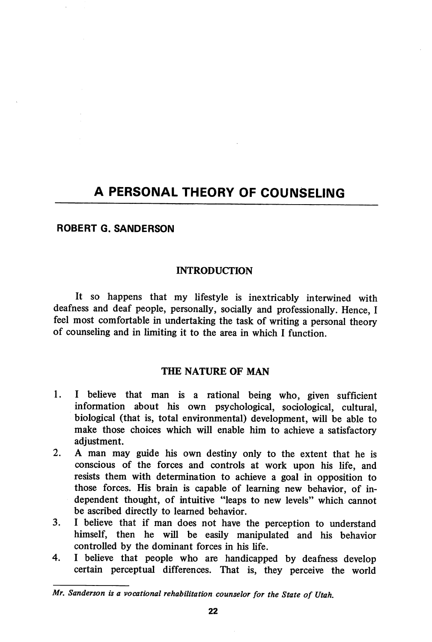# A PERSONAL THEORY OF COUNSELING

## ROBERT G. SANDERSON

## **INTRODUCTION**

It so happens that my lifestyle is inextricably interwined with deafness and deaf people, personally, socially and professionally. Hence, I feel most comfortable in undertaking the task of writing a personal theory of counseling and in limiting it to the area in which I function.

## THE NATURE OF MAN

- 1. I believe that man is a rational being who, given sufficient information about his own psychological, sociological, cultural, biological (that is, total environmental) development, will be able to make those choices which will enable him to achieve a satisfactory adjustment.
- 2. A man may guide his own destiny only to the extent that he is conscious of the forces and controls at work upon his life, and resists them with determination to achieve a goal in opposition to those forces. His brain is capable of learning new behavior, of in dependent thought, of intuitive "leaps to new levels" which cannot be ascribed directly to learned behavior.
- 3. I believe that if man does not have the perception to understand himself, then he will be easily manipulated and his behavior controlled by the dominant forces in his life.
- 4. I believe that people who are handicapped by deafness develop certain perceptual differences. That is, they perceive the world

Mr. Sanderson is a vocational rehabilitation counselor for the State of Utah.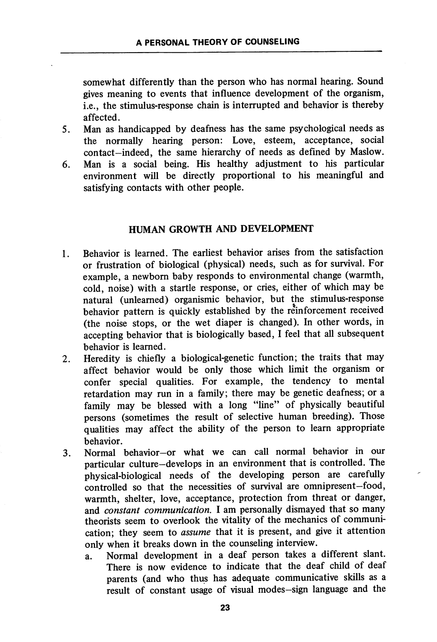somewhat differently than the person who has normal hearing. Sound gives meaning to events that influence development of the organism, i.e., the stimulus-response chain is interrupted and behavior is thereby affected.

- 5. Man as handicapped by deafness has the same psychological needs as the normally hearing person: Love, esteem, acceptance, social contact—indeed, the same hierarchy of needs as defined by Maslow.
- 6. Man is a social being. His healthy adjustment to his particular environment will be directly proportional to his meaningful and satisfying contacts with other people.

## HUMAN GROWTH AND DEVELOPMENT

- 1. Behavior is learned. The earliest behavior arises from the satisfaction or frustration of biological (physical) needs, such as for survival. For example, a newborn baby responds to environmental change (warmth, cold, noise) with a startle response, or cries, either of which may be natural (unlearned) organismic behavior, but the stimulus-response behavior pattern is quickly established by the reinforcement received (the noise stops, or the wet diaper is changed). In other words, in accepting behavior that is biologically based, I feel that all subsequent behavior is learned.
- 2. Heredity is chiefly a biological-genetic function; the traits that may affect behavior would be only those which limit the organism or confer special qualities. For example, the tendency to mental retardation may run in a family; there may be genetic deafness; or a family may be blessed with a long "line" of physically beautiful persons (sometimes the result of selective human breeding). Those qualities may affect the ability of the person to learn appropriate behavior.
- 3. Normal behavior—or what we can call normal behavior in our particular culture—develops in an environment that is controlled. The physical-biological needs of the developing person are carefully controlled so that the necessities of survival are omnipresent—food, warmth, shelter, love, acceptance, protection from threat or danger, and *constant communication*. I am personally dismayed that so many theorists seem to overlook the vitality of the mechanics of communi cation; they seem to assume that it is present, and give it attention only when it breaks down in the counseling interview.
	- a. Normal development in a deaf person takes a different slant. There is now evidence to indicate that the deaf child of deaf parents (and who thus has adequate communicative skills as a result of constant usage of visual modes-sign language and the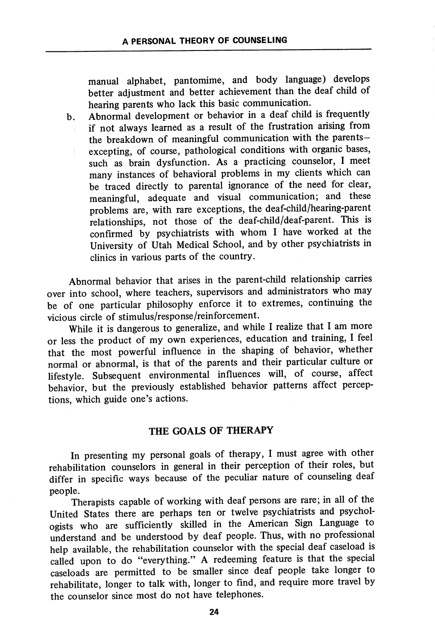manual alphabet, pantomime, and body language) develops better adjustment and better achievement than the deaf child of hearing parents who lack this basic communication.

b. Abnormal development or behavior in a deaf child is frequently if not always learned as a result of the frustration arising from the breakdown of meaningful communication with the parentsexcepting, of course, pathological conditions with organic bases, such as brain dysfunction. As a practicing counselor, I meet many instances of behavioral problems in my clients which can be traced directly to parental ignorance of the need for clear, meaningful, adequate and visual communication; and these problems are, with rare exceptions, the deaf-child/hearing-parent relationships, not those of the deaf-child/deaf-parent. This is confirmed by psychiatrists with whom I have worked at the University of Utah Medical School, and by other psychiatrists in clinics in various parts of the country.

Abnormal behavior that arises in the parent-child relationship carries over into school, where teachers, supervisors and administrators who may be of one particular philosophy enforce it to extremes, continuing the vicious circle of stimulus/response/reinforcement.

While it is dangerous to generalize, and while I realize that I am more or less the product of my own experiences, education and training, I feel that the most powerful influence in the shaping of behavior, whether normal or abnormal, is that of the parents and their particular culture or lifestyle. Subsequent environmental influences will, of course, affect behavior, but the previously established behavior patterns affect percep tions, which guide one's actions.

## THE GOALS OF THERAPY

In presenting my personal goals of therapy, I must agree with other rehabilitation counselors in general in their perception of their roles, but differ in specific ways because of the peculiar nature of counseling deaf people.

Therapists capable of working with deaf persons are rare; in all of the United States there are perhaps ten or twelve psychiatrists and psychol ogists who are sufficiently skilled in the American Sign Language to understand and be understood by deaf people. Thus, with no professional help available, the rehabilitation counselor with the special deaf caseload is called upon to do "everything." A redeeming feature is that the special caseloads are permitted to be smaller since deaf people take longer to rehabilitate, longer to talk with, longer to find, and require more travel by the counselor since most do not have telephones.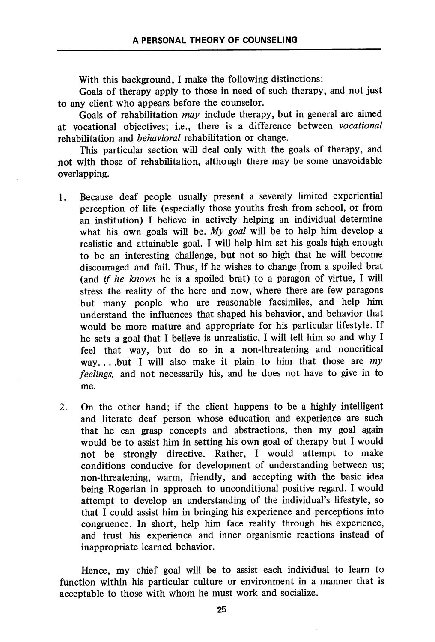With this background, I make the following distinctions:

Goals of therapy apply to those in need of such therapy, and not just to any client who appears before the counselor.

Goals of rehabilitation may include therapy, but in general are aimed at vocational objectives; i.e., there is a difference between vocational rehabilitation and behavioral rehabilitation or change.

This particular section will deal only with the goals of therapy, and not with those of rehabilitation, although there may be some unavoidable overlapping.

- 1. Because deaf people usually present a severely limited experiential perception of life (especially those youths fresh from school, or from an institution) I believe in actively helping an individual determine what his own goals will be. My goal will be to help him develop a realistic and attainable goal. I will help him set his goals high enough to be an interesting challenge, but not so high that he will become discouraged and fail. Thus, if he wishes to change from a spoiled brat (and if he knows he is a spoiled brat) to a paragon of virtue, I will stress the reality of the here and now, where there are few paragons but many people who are reasonable facsimiles, and help him understand the influences that shaped his behavior, and behavior that would be more mature and appropriate for his particular lifestyle. If he sets a goal that I believe is unrealistic, I will tell him so and why I feel that way, but do so in a non-threatening and noncritical way... but I will also make it plain to him that those are  $my$ feelings, and not necessarily his, and he does not have to give in to me.
- 2. On the other hand; if the client happens to be a highly intelligent and literate deaf person whose education and experience are such that he can grasp concepts and abstractions, then my goal again would be to assist him in setting his own goal of therapy but I would not be strongly directive. Rather, I would attempt to make conditions conducive for development of understanding between us; non-threatening, warm, friendly, and accepting with the basic idea being Rogerian in approach to unconditional positive regard. I would attempt to develop an understanding of the individual's lifestyle, so that I could assist him in bringing his experience and perceptions into congruence. In short, help him face reality through his experience, and trust his experience and inner organismic reactions instead of inappropriate learned behavior.

Hence, my chief goal will be to assist each individual to learn to function within his particular culture or environment in a manner that is acceptable to those with whom he must work and socialize.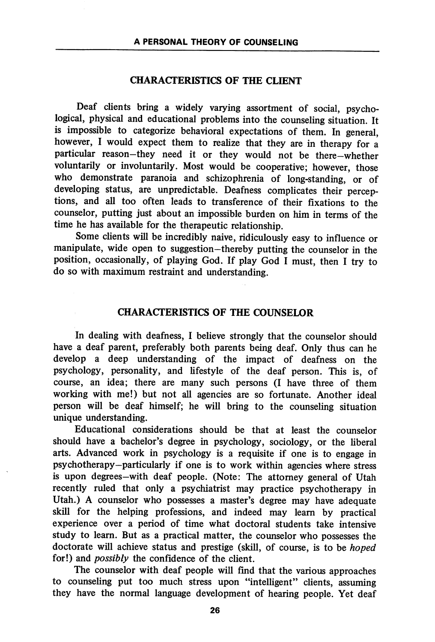#### CHARACTERISTICS OF THE CLIENT

Deaf clients bring a widely varying assortment of social, psycho logical, physical and educational problems into the counseling situation. It is impossible to categorize behavioral expectations of them. In general, however, I would expect them to realize that they are in therapy for a particular reason-they need it or they would not be there-whether voluntarily or involuntarily. Most would be cooperative; however, those who demonstrate paranoia and schizophrenia of long-standing, or of developing status, are unpredictable. Deafness complicates their percep tions, and all too often leads to transference of their fixations to the counselor, putting just about an impossible burden on him in terms of the time he has available for the therapeutic relationship.

Some clients will be incredibly naive, ridiculously easy to influence or manipulate, wide open to suggestion-thereby putting the counselor in the position, occasionally, of playing God. If play God I must, then I try to do so with maximum restraint and understanding.

## CHARACTERISTICS OF THE COUNSELOR

In dealing with deafness, I believe strongly that the counselor should have a deaf parent, preferably both parents being deaf. Only thus can he develop a deep imderstanding of the impact of deafness on the psychology, personality, and lifestyle of the deaf person. This is, of course, an idea; there are many such persons (I have three of them working with me!) but not all agencies are so fortunate. Another ideal person will be deaf himself; he will bring to the counseling situation unique understanding.

Educational considerations should be that at least the counselor should have a bachelor's degree in psychology, sociology, or the liberal arts. Advanced work in psychology is a requisite if one is to engage in psychotherapy—particularly if one is to work within agencies where stress is upon degrees—with deaf people. (Note: The attorney general of Utah recently ruled that only a psychiatrist may practice psychotherapy in Utah.) A counselor who possesses a master's degree may have adequate skill for the helping professions, and indeed may learn by practical experience over a period of time what doctoral students take intensive study to leam. But as a practical matter, the counselor who possesses the doctorate will achieve status and prestige (skill, of course, is to be hoped for!) and possibly the confidence of the client.

The counselor with deaf people will find that the various approaches to counseling put too much stress upon "intelligent" clients, assuming they have the normal language development of hearing people. Yet deaf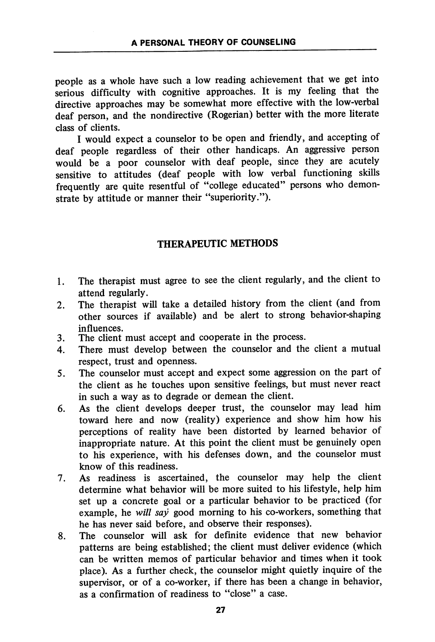people as a whole have such a low reading achievement that we get into serious difficulty with cognitive approaches. It is my feeling that the directive approaches may be somewhat more effective with the low-verbal deaf person, and the nondirective (Rogerian) better with the more literate class of clients.

I would expect a counselor to be open and friendly, and accepting of deaf people regardless of their other handicaps. An aggressive person would be a poor counselor with deaf people, since they are acutely sensitive to attitudes (deaf people with low verbal functioning skills frequently are quite resentful of "college educated" persons who demon strate by attitude or manner their "superiority.").

## THERAPEUTIC METHODS

- 1. The therapist must agree to see the client regularly, and the client to attend regularly.
- 2. The therapist will take a detailed history from the client (and from other sources if available) and be alert to strong behavior-shaping influences.
- 3. The client must accept and cooperate in the process.
- 4. There must develop between the counselor and the client a mutual respect, trust and openness.
- 5. The counselor must accept and expect some aggression on the part of the client as he touches upon sensitive feelings, but must never react in such a way as to degrade or demean the client.
- 6. As the client develops deeper trust, the counselor may lead him toward here and now (reality) experience and show him how his perceptions of reality have been distorted by learned behavior of inappropriate nature. At this point the client must be genuinely open to his experience, with his defenses down, and the counselor must know of this readiness.
- 7. As readiness is ascertained, the counselor may help the client determine what behavior will be more suited to his lifestyle, help him set up a concrete goal or a particular behavior to be practiced (for example, he will say good morning to his co-workers, something that he has never said before, and observe their responses).
- 8. The counselor will ask for definite evidence that new behavior patterns are being established; the client must deliver evidence (which can be written memos of particular behavior and times when it took place). As a further check, the counselor might quietly inquire of the supervisor, or of a co-worker, if there has been a change in behavior, as a confirmation of readiness to "close" a case.